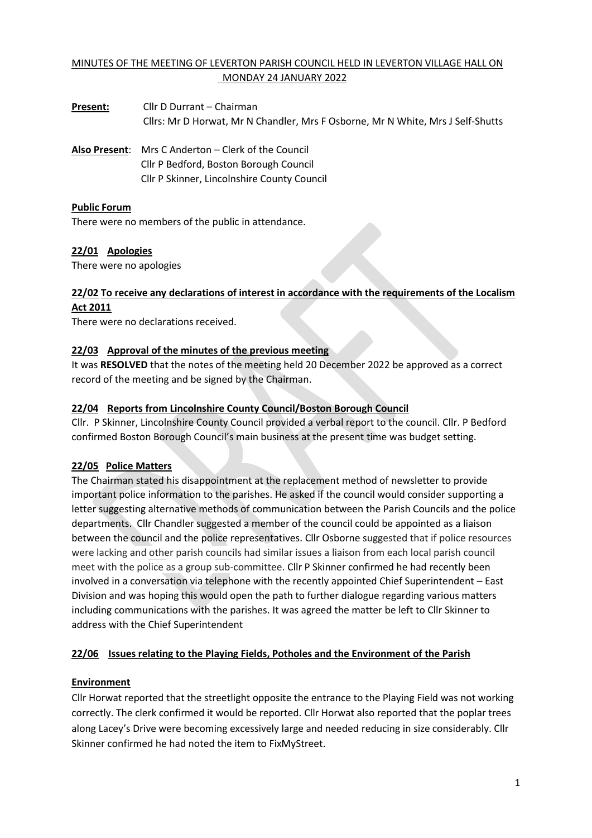# MINUTES OF THE MEETING OF LEVERTON PARISH COUNCIL HELD IN LEVERTON VILLAGE HALL ON MONDAY 24 JANUARY 2022

**Present:** Cllr D Durrant – Chairman Cllrs: Mr D Horwat, Mr N Chandler, Mrs F Osborne, Mr N White, Mrs J Self-Shutts

**Also Present**: Mrs C Anderton – Clerk of the Council Cllr P Bedford, Boston Borough Council Cllr P Skinner, Lincolnshire County Council

## **Public Forum**

There were no members of the public in attendance.

### **22/01 Apologies**

There were no apologies

## **22/02 To receive any declarations of interest in accordance with the requirements of the Localism Act 2011**

There were no declarations received.

### **22/03 Approval of the minutes of the previous meeting**

It was **RESOLVED** that the notes of the meeting held 20 December 2022 be approved as a correct record of the meeting and be signed by the Chairman.

### **22/04 Reports from Lincolnshire County Council/Boston Borough Council**

Cllr. P Skinner, Lincolnshire County Council provided a verbal report to the council. Cllr. P Bedford confirmed Boston Borough Council's main business at the present time was budget setting.

## **22/05 Police Matters**

The Chairman stated his disappointment at the replacement method of newsletter to provide important police information to the parishes. He asked if the council would consider supporting a letter suggesting alternative methods of communication between the Parish Councils and the police departments. Cllr Chandler suggested a member of the council could be appointed as a liaison between the council and the police representatives. Cllr Osborne suggested that if police resources were lacking and other parish councils had similar issues a liaison from each local parish council meet with the police as a group sub-committee. Cllr P Skinner confirmed he had recently been involved in a conversation via telephone with the recently appointed Chief Superintendent – East Division and was hoping this would open the path to further dialogue regarding various matters including communications with the parishes. It was agreed the matter be left to Cllr Skinner to address with the Chief Superintendent

## **22/06 Issues relating to the Playing Fields, Potholes and the Environment of the Parish**

#### **Environment**

Cllr Horwat reported that the streetlight opposite the entrance to the Playing Field was not working correctly. The clerk confirmed it would be reported. Cllr Horwat also reported that the poplar trees along Lacey's Drive were becoming excessively large and needed reducing in size considerably. Cllr Skinner confirmed he had noted the item to FixMyStreet.